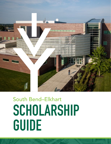

# South Bend–Elkhart SCHOLARSHIP GUIDE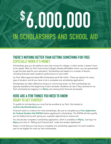# \$ 6,000,000 IN SCHOLARSHIPS AND SCHOOL AID

#### THERE'S NOTHING BETTER THAN GETTING SOMETHING FOR FREE ESPECIALLY WHEN IT'S MONEY.

Scholarships give you the ability to earn free money for college, in other words, it doesn't have to be repaid. With Ivy Tech Community College's already affordable tuition, you are guaranteed to get the best deal for your education. Scholarships are based on a number of factors, including financial need, academic performance or even both!

Ivy Tech offers approximately 600 scholarships worth \$6 million. There are options for every type of student, and all you have to do is complete one scholarship application!

Scholarships are often offered at campus or community levels. Ivy Tech scholarships are typically awarded at the beginning of each semester. Students can see if they received an Ivy Tech scholarship by logging in to [MyIvy](https://my.ivytech.edu/) and viewing their financial aid awards.

#### HERE ARE A FEW THINGS YOU NEED TO KNOW READY TO GET STARTED?

To qualify for scholarships you must first be enrolled at Ivy Tech. Get started at [IvyTech.edu/NewStudents.com](http://IvyTech.edu/NewStudents.com)

Financial need is a criterion for most scholarships. Be sure to complete your [Free Application](https://studentaid.ed.gov/sa/fafsa)  [for Federal Student Aid \(FAFSA\)](https://studentaid.ed.gov/sa/fafsa) before applying for scholarships. The FAFSA will also qualify you for federal aid as well, giving you a greater opportunity to receive aid.

You should also complete a scholarship application, which is available on Mylvy. Just log in to [MyIvy](https://my.ivytech.edu/) and click on "Billing and Financial Aid" under the student dashboard.

Keep in mind that you only have to complete one scholarship application for each academic year to be eligible for most Ivy Tech scholarships.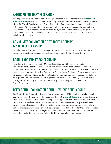#### AMERICAN CULINARY FEDERATION

The applicant must be a full or part time degree seeking student admitted to the Hospitality [Administration](https://www.ivytech.edu/hospitality-admin/) program at IVY Tech Community College South Bend and be a Junior Member of the ACF South Bend Chefs and Cooks Association. Participate in a minimum of twelve (12) hours of ACF sanctioned events and no less than two events. Successfully completed at least fifteen (15) quality credit hours, of which six (6) must be in the Hospitality Program. The student will possess an overall GPA of at least 2.5, and a GPA of at least 3.0 for Hospitality Administration classes.

#### COMMUNITY FOUNDATION OF ST. JOSEPH COUNTY IVY TECH SCHOLARSHIP

Provided by the Community Foundation of St. Joseph County. This scholarship is intended to provide educational scholarships to students enrolled at the South Bend Campus.

# COQUILLARD FAMILY SCHOLARSHIP

Provided by the Coquillard Family. Managed and distributed by the Community Foundation of St. Joseph County. The Community Foundation of St. Joseph County is a charitable endowment that improves the quality of life for the citizens of St. Joseph County and their succeeding generations. The Community Foundation of St. Joseph County has more than 50 scholarship funds which award over \$450,000 to local students each year. Applicant should be a graduate of a St. Joseph County high school; currently enrolled at Ivy Tech Community College/South Bend; age 35 or under; award may be used only for course work on South Bend campus.

#### DELTA DENTAL FOUNDATION DENTAL HYGIENE SCHOLARSHIP

Two Delta Dental Foundation Scholarships, in the amount of \$1250 each, are available each year to students who are enrolled in good standing in the [Dental Hygiene](https://www.ivytech.edu/dental-hygiene/index.html) program. Recipients must be an IN resident. Preference will be given to applicants who possess strong leadership qualities and ethical standards and are involved in community service. Recipients will have a proven record of success in the Dental Hygiene program, demonstrate good clinical skills and patient interaction. One scholarship will be awarded for the fall and one for the spring semester. May be used only toward dental hygiene school tuition, fees, textbooks, and instruments. Not available to individuals receiving a full scholarship from another organization.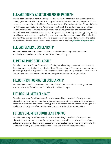# ELKHART COUNTY ADULT SCHOLARSHIP PROGRAM

The Ivy Tech Elkhart County Scholarship was created in 2020 thanks to the generosity of the County government. The purpose is to support local students who are preparing for technical careers and are training at the Elkhart County location and/or the Larry & Judy Garatoni Center for Advanced Manufacturing and Automation (iFLEX Lab). The student must be an Elkhart County resident who is at least 18 years of age and a first-generation immigrant student. Student must be enrolled in Advanced and Integrated Manufacturing Technology program and be willing to write a short essay detailing how they meet the requirements of this scholarship and how they plan to utilize the certificate in their career. For more information and to obtain an application for this specific scholarship, contact Jose Elizalde at [jelizalde1@ivytech.edu](mailto:jelizalde1%40ivytech.edu?subject=).

#### ELKHART GENERAL SCHOLARSHIP

Provided by Ivy Tech employees. This scholarship is intended to provide educational scholarships to students enrolled at the Elkhart County Campus.

# ELMER GILMORE SCHOLARSHIP

Provided in honor of Elmer Gilmore by his family, the scholarship is awarded to a current Ivy Tech student in any field of study who is at least 22 years of age. The student must have been an average student in high school and experienced difficulty gaining direction to his/her life. A letter of recommendation is required from the applicant's school or program chair.

#### FIELDS TRUST FOUNDATION SCHOLARSHIP

Provided by the Fields Trust Foundation. This scholarship is available to minority students enrolled at the Ivy Tech Community College South Bend campus.

#### FUTURES UNLIMITED ELKHART

Provided by the Ivy Tech Foundation for students enrolling in any field of study who are dislocated workers, women returning to the workforce, minorities, and/or welfare recipients. Selection criteria includes: financial need, proof of dislocated worker, woman returning to the workforce, minority or welfare recipient status and one letter of recommendation.

#### FUTURES UNLIMITED SOUTH BEND CAMPUS

Provided by the Ivy Tech Foundation for students enrolling in any field of study who are dislocated workers, women returning to the workforce, minorities, and/or welfare recipients. Selection criteria includes: financial need, proof of dislocated worker, woman returning to the workforce, minority or welfare recipient status and one letter of recommendation.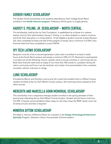# GERBER FAMILY SCHOLARSHIP

The Gerber Family Scholarship is for students attending Ivy Tech College South Bend enrolled in the [Health Sciences program](https://www.ivytech.edu/schools/index.html). Preference will be given to single parents.

#### HARVEY S. POLING, JR. SCHOLARSHIP - NORTH CENTRAL

This scholarship, held by the Ivy Tech Foundation, is established as a tribute to a veteran teacher and Ivy Tech administrator, Harvey S. Poling, Jr. to allow students in need to continue and finish their education in a timely fashion. To be eligible a student must be at least 28 years old, have completed at least one-half of the program of study, have a minimum 3.0 GPA, have financial need and have completed a current FAFSA.

#### IVY TECH LATINO SCHOLARSHIP

Recipient must be a first or second generation Latino who is enrolled in at least 6 credit hours at the South Bend campus and posses a minimum GPA of 2.75. Received or participated in at least one of the following: honors, awards, extra-curricular activities or community service. Must have financial need write an essay of not more than 300 words on a problem facing the Latino community and how it can be resolved, and a letter of recommendation from a teacher, counselor, advisor, instructor or clergy.

#### LUNG SCHOLARSHIP

Provided by Mervin and Dorothy Lung to any full or part-time student that is a Elkhart County resident enrolled at the Ivy Tech Elkhart County campus. Not receiving tuition assistance from other sources.

#### MEREDITH AND MARCELLA GOHN MEMORIAL SCHOLARSHIP

This scholarship is for a respiratory therapy student enrolled in the spring semester of their second year attending the Ivy Tech Elkhart County location. Student should have a minimum 3.0 GPA. A faculty recommendation letter, essay on why they chose the RESP career, and a list of extracurricular activities is required.

# MINERVA DITTON SCHOLARSHIP

Provided in memory of Minerva Ditton for a student in the [Design Technology/Architectural](https://www.ivytech.edu/design-technology/index.html)  [Specialty](https://www.ivytech.edu/design-technology/index.html) Program. Selection criteria: first semester full-time student.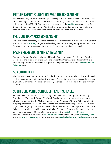#### MITTLER FAMILY FOUNDATION WELDING SCHOLARSHIP

The Mittler Family Foundation Welding Scholarship is awarded annually to cover the full cost of the welding institute for qualified candidates, including tuition and books. Candidates must hold a cumulative GPA of 2.0 or better and be enrolled in the [Welding](https://www.ivytech.edu/industrial-technology/index.html) program at Ivy Tech Community College, South Bend. Priority will be given to candidates who demonstrate a financial need, funds will be allocated to the students who show the most need.

# PFEIL CULINARY ARTS SCHOLARSHIP

Provided by the generosity of Dick and Donna Pfeil, this scholarship is for an Ivy Tech Student enrolled in the [Hospitality](https://www.ivytech.edu/hospitality-admin/index.html) program and seeking an Associates Degree. Applicant must be a 1st year student in the program, be enrolled full time and have financial need.

#### REGINA MCMANUS RESNIK SCHOLARSHIP

Started by George Resnik Sr. in honor of his wife, Regina McManus Resnick. Mrs. Resnick was a nurse and a recipient of the Katherine Kasper Healthcare Award. This scholarship is for a full or part-time student who is in good standing and enrolled in the **School of Health** [Sciences](https://www.ivytech.edu/schools/index.html) program.

#### SGA SOUTH BEND

The Student Government Association Scholarship is for students enrolled at the South Bend Ivy Tech campus and are in Student Government Association or a club officer, and must have a GPA of 2.0 or higher. This scholarship is only awarded for students attending the summer semester.

# SOUTH BEND CLINIC SCHOOL OF HEALTH SCIENCES

Provided by the South Bend Clinic. Managed and distributed through the Community Foundation of St. Joseph County. The South Bend Clinic is a comprehensive, multi-specialty physician group serving the Michiana region for over 90 years. With over 100 medical and surgical providers in over 22 different specialty and primary care disciplines, the Clinic is the largest medical group in northern Indiana and southwestern Michigan. Applicants must be a full or part-time degree seeking student who is a St. Joseph County resident attending the South Bend campus and be enrolled in a program in the [School of Health Sciences](https://www.ivytech.edu/schools/index.html). Preference given to EMT certified [Paramedic Science](https://www.ivytech.edu/paramedic-science/index.html) students, 2nd year [Respiratory Care](https://www.ivytech.edu/respiratory-therapy/index.html) students, [Medical Assisting](https://www.ivytech.edu/medical-assisting/index.html) students, and 2nd year [Medical Laboratory Technology](https://www.ivytech.edu/medical-laboratory-tech/index.html) students.